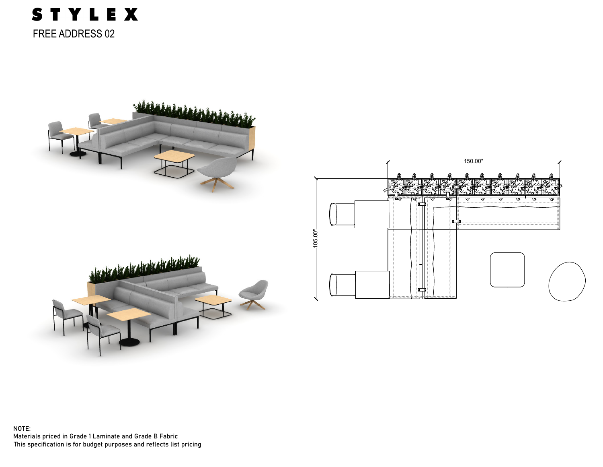